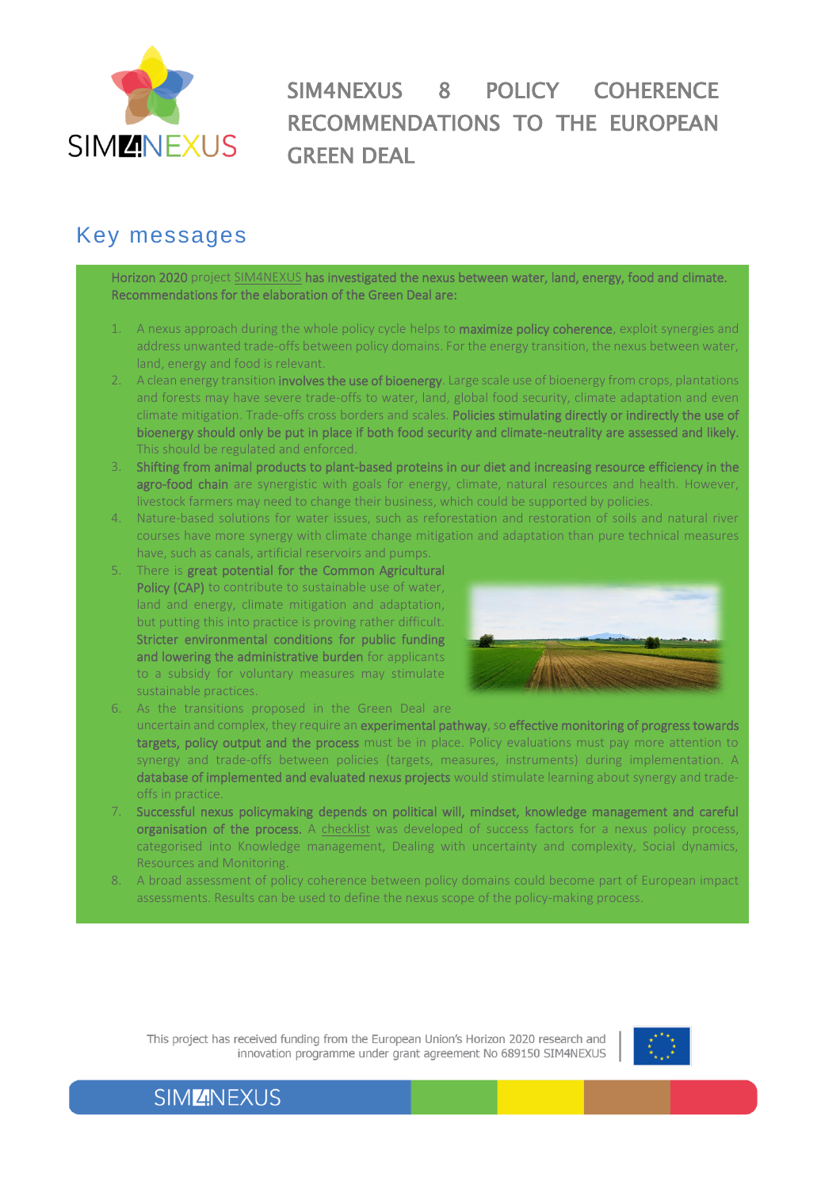

SIM4NEXUS 8 POLICY COHERENCE RECOMMENDATIONS TO THE EUROPEAN GREEN DEAL

## Key messages

Horizon 2020 project [SIM4NEXUS](https://www.sim4nexus.eu/) has investigated the nexus between water, land, energy, food and climate. Recommendations for the elaboration of the Green Deal are:

- A nexus approach during the whole policy cycle helps to **maximize policy coherence**, exploit synergies and address unwanted trade-offs between policy domains. For the energy transition, the nexus between water, land, energy and food is relevant.
- A clean energy transition involves the use of bioenergy. Large scale use of bioenergy from crops, plantations and forests may have severe trade-offs to water, land, global food security, climate adaptation and even climate mitigation. Trade-offs cross borders and scales. Policies stimulating directly or indirectly the use of bioenergy should only be put in place if both food security and climate-neutrality are assessed and likely. This should be regulated and enforced.
- 3. Shifting from animal products to plant-based proteins in our diet and increasing resource efficiency in the agro-food chain are synergistic with goals for energy, climate, natural resources and health. However, livestock farmers may need to change their business, which could be supported by policies.
- 4. Nature-based solutions for water issues, such as reforestation and restoration of soils and natural river courses have more synergy with climate change mitigation and adaptation than pure technical measures have, such as canals, artificial reservoirs and pumps.
- There is great potential for the Common Agricultural Policy (CAP) to contribute to sustainable use of water, land and energy, climate mitigation and adaptation, but putting this into practice is proving rather difficult. Stricter environmental conditions for public funding and lowering the administrative burden for applicants to a subsidy for voluntary measures may stimulate sustainable practices.



- As the transitions proposed in the Green Deal are uncertain and complex, they require an experimental pathway, so effective monitoring of progress towards targets, policy output and the process must be in place. Policy evaluations must pay more attention to synergy and trade-offs between policies (targets, measures, instruments) during implementation. A database of implemented and evaluated nexus projects would stimulate learning about synergy and tradeoffs in practice.
- 7. Successful nexus policymaking depends on political will, mindset, knowledge management and careful organisation of the process. A [checklist](https://www.sim4nexus.eu/userfiles/Deliverables/Deliverable_D2.3%20resubmission.pdf) was developed of success factors for a nexus policy process, categorised into Knowledge management, Dealing with uncertainty and complexity, Social dynamics, Resources and Monitoring.
- 8. A broad assessment of policy coherence between policy domains could become part of European impact assessments. Results can be used to define the nexus scope of the policy-making process.

This project has received funding from the European Union's Horizon 2020 research and innovation programme under grant agreement No 689150 SIM4NEXUS

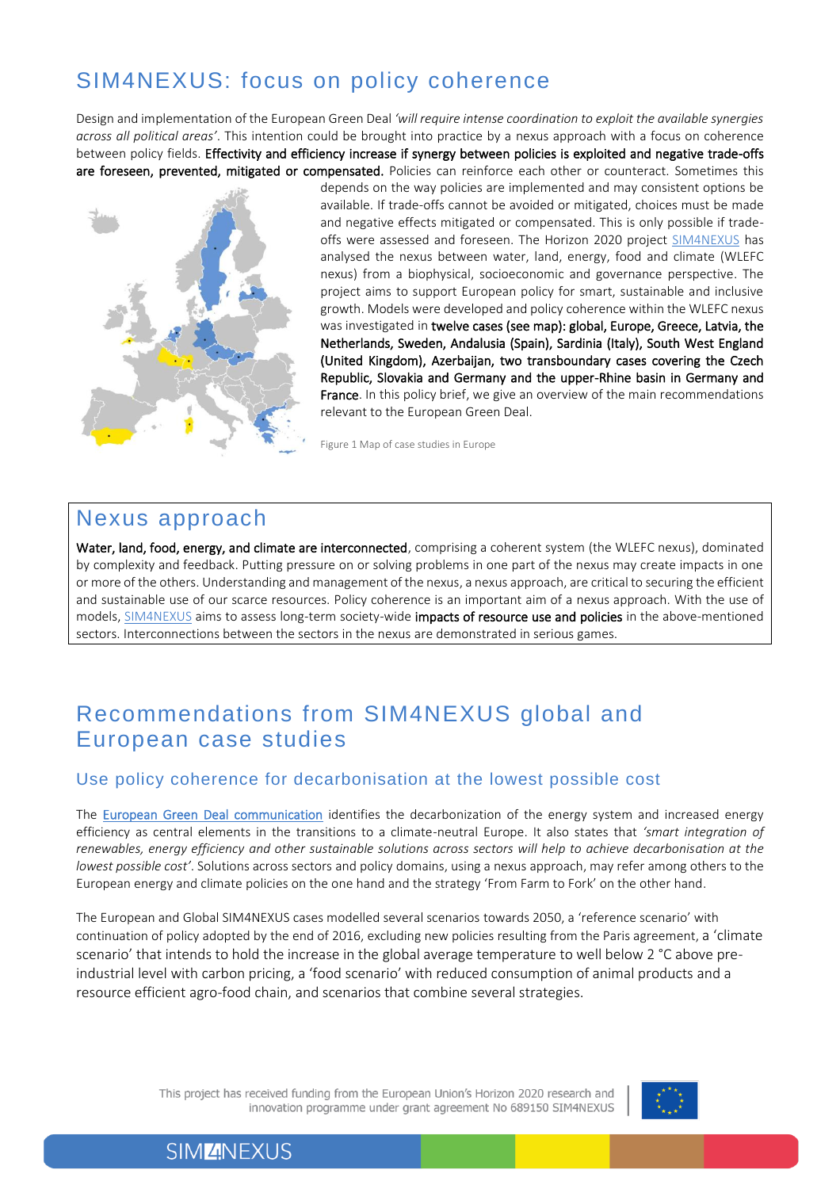# SIM4NEXUS: focus on policy coherence

Design and implementation of the European Green Deal *'will require intense coordination to exploit the available synergies across all political areas'*. This intention could be brought into practice by a nexus approach with a focus on coherence between policy fields. Effectivity and efficiency increase if synergy between policies is exploited and negative trade-offs are foreseen, prevented, mitigated or compensated. Policies can reinforce each other or counteract. Sometimes this



depends on the way policies are implemented and may consistent options be available. If trade-offs cannot be avoided or mitigated, choices must be made and negative effects mitigated or compensated. This is only possible if trade-offs were assessed and foreseen. The Horizon 2020 project [SIM4NEXUS](https://www.sim4nexus.eu/) has analysed the nexus between water, land, energy, food and climate (WLEFC nexus) from a biophysical, socioeconomic and governance perspective. The project aims to support European policy for smart, sustainable and inclusive growth. Models were developed and policy coherence within the WLEFC nexus was investigated in twelve cases (see map): global, Europe, Greece, Latvia, the Netherlands, Sweden, Andalusia (Spain), Sardinia (Italy), South West England (United Kingdom), Azerbaijan, two transboundary cases covering the Czech Republic, Slovakia and Germany and the upper-Rhine basin in Germany and France. In this policy brief, we give an overview of the main recommendations relevant to the European Green Deal.

Figure 1 Map of case studies in Europe

## Nexus approach

Water, land, food, energy, and climate are interconnected, comprising a coherent system (the WLEFC nexus), dominated by complexity and feedback. Putting pressure on or solving problems in one part of the nexus may create impacts in one or more of the others. Understanding and management of the nexus, a nexus approach, are critical to securing the efficient and sustainable use of our scarce resources. Policy coherence is an important aim of a nexus approach. With the use of models, [SIM4NEXUS](https://www.sim4nexus.eu/) aims to assess long-term society-wide impacts of resource use and policies in the above-mentioned sectors. Interconnections between the sectors in the nexus are demonstrated in serious games.

## Recommendations from SIM4NEXUS global and European case studies

### Use policy coherence for decarbonisation at the lowest possible cost

The [European Green Deal](https://eur-lex.europa.eu/resource.html?uri=cellar:b828d165-1c22-11ea-8c1f-01aa75ed71a1.0002.02/DOC_1&format=PDF) communication identifies the decarbonization of the energy system and increased energy efficiency as central elements in the transitions to a climate-neutral Europe. It also states that *'smart integration of renewables, energy efficiency and other sustainable solutions across sectors will help to achieve decarbonisation at the lowest possible cost'*. Solutions across sectors and policy domains, using a nexus approach, may refer among others to the European energy and climate policies on the one hand and the strategy 'From Farm to Fork' on the other hand.

The European and Global SIM4NEXUS cases modelled several scenarios towards 2050, a 'reference scenario' with continuation of policy adopted by the end of 2016, excluding new policies resulting from the Paris agreement, a 'climate scenario' that intends to hold the increase in the global average temperature to well below 2 °C above preindustrial level with carbon pricing, a 'food scenario' with reduced consumption of animal products and a resource efficient agro-food chain, and scenarios that combine several strategies.

> This project has received funding from the European Union's Horizon 2020 research and innovation programme under grant agreement No 689150 SIM4NEXUS



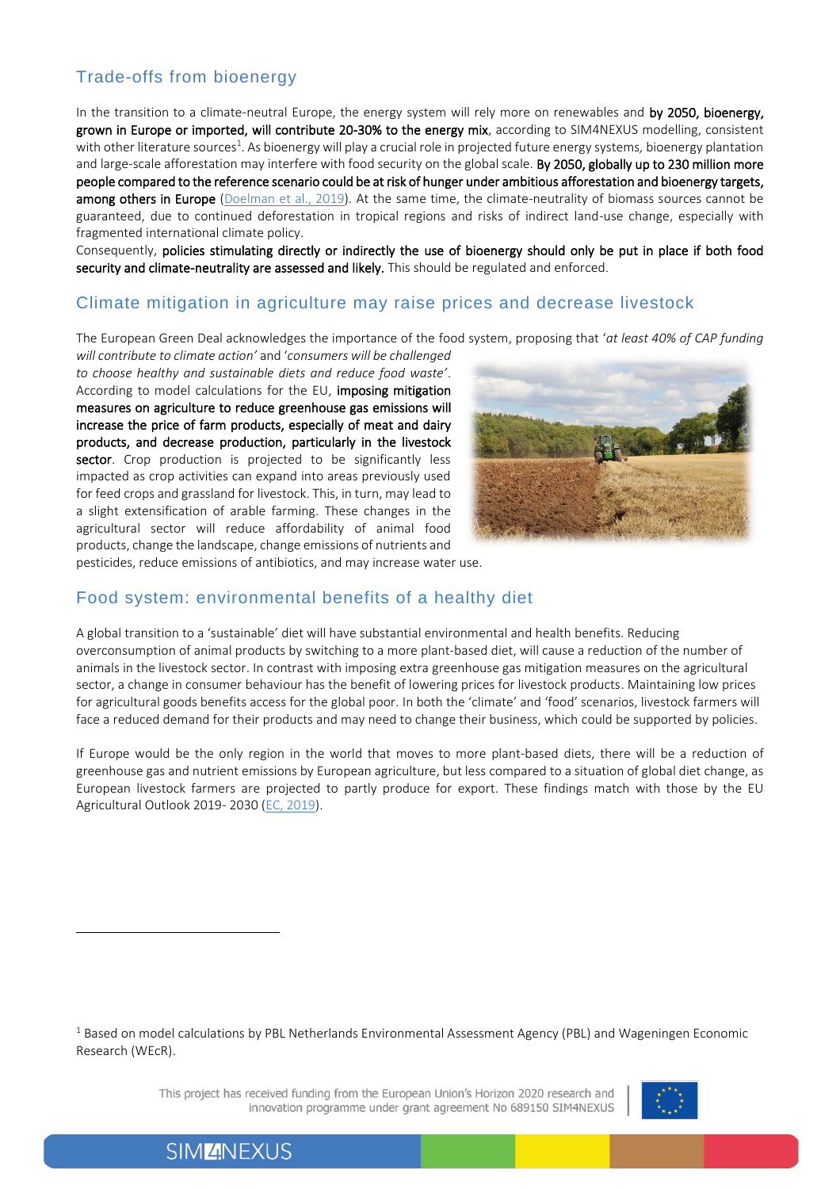## Trade-offs from bioenergy

In the transition to a climate-neutral Europe, the energy system will rely more on renewables and by 2050, bioenergy, grown in Europe or imported, will contribute 20-30% to the energy mix, according to SIM4NEXUS modelling, consistent with other literature sources<sup>1</sup>. As bioenergy will play a crucial role in projected future energy systems*,* bioenergy plantation and large-scale afforestation may interfere with food security on the global scale. By 2050, globally up to 230 million more people compared to the reference scenario could be at risk of hunger under ambitious afforestation and bioenergy targets, among others in Europe [\(Doelman et al., 2019\)](https://www.sciencedirect.com/science/article/abs/pii/S2211912418301263). At the same time, the climate-neutrality of biomass sources cannot be guaranteed, due to continued deforestation in tropical regions and risks of indirect land-use change, especially with fragmented international climate policy.

Consequently, policies stimulating directly or indirectly the use of bioenergy should only be put in place if both food security and climate-neutrality are assessed and likely. This should be regulated and enforced.

### Climate mitigation in agriculture may raise prices and decrease livestock

The European Green Deal acknowledges the importance of the food system, proposing that '*at least 40% of CAP funding* 

*will contribute to climate action'* and '*consumers will be challenged to choose healthy and sustainable diets and reduce food waste'*. According to model calculations for the EU, imposing mitigation measures on agriculture to reduce greenhouse gas emissions will increase the price of farm products, especially of meat and dairy products, and decrease production, particularly in the livestock sector. Crop production is projected to be significantly less impacted as crop activities can expand into areas previously used for feed crops and grassland for livestock. This, in turn, may lead to a slight extensification of arable farming. These changes in the agricultural sector will reduce affordability of animal food products, change the landscape, change emissions of nutrients and



pesticides, reduce emissions of antibiotics, and may increase water use.

#### Food system: environmental benefits of a healthy diet

A global transition to a 'sustainable' diet will have substantial environmental and health benefits. Reducing overconsumption of animal products by switching to a more plant-based diet, will cause a reduction of the number of animals in the livestock sector. In contrast with imposing extra greenhouse gas mitigation measures on the agricultural sector, a change in consumer behaviour has the benefit of lowering prices for livestock products. Maintaining low prices for agricultural goods benefits access for the global poor. In both the 'climate' and 'food' scenarios, livestock farmers will face a reduced demand for their products and may need to change their business, which could be supported by policies.

If Europe would be the only region in the world that moves to more plant-based diets, there will be a reduction of greenhouse gas and nutrient emissions by European agriculture, but less compared to a situation of global diet change, as European livestock farmers are projected to partly produce for export. These findings match with those by the EU Agricultural Outlook 2019- 2030 [\(EC, 2019\)](file:///C:/Users/Maria%20Witmer/Documents/SIM4NEXUS/EC_2019_agricultural-outlook-2019-report_en.pdf).

<sup>1</sup> Based on model calculations by PBL Netherlands Environmental Assessment Agency (PBL) and Wageningen Economic Research (WEcR).

> This project has received funding from the European Union's Horizon 2020 research and innovation programme under grant agreement No 689150 SIM4NEXUS

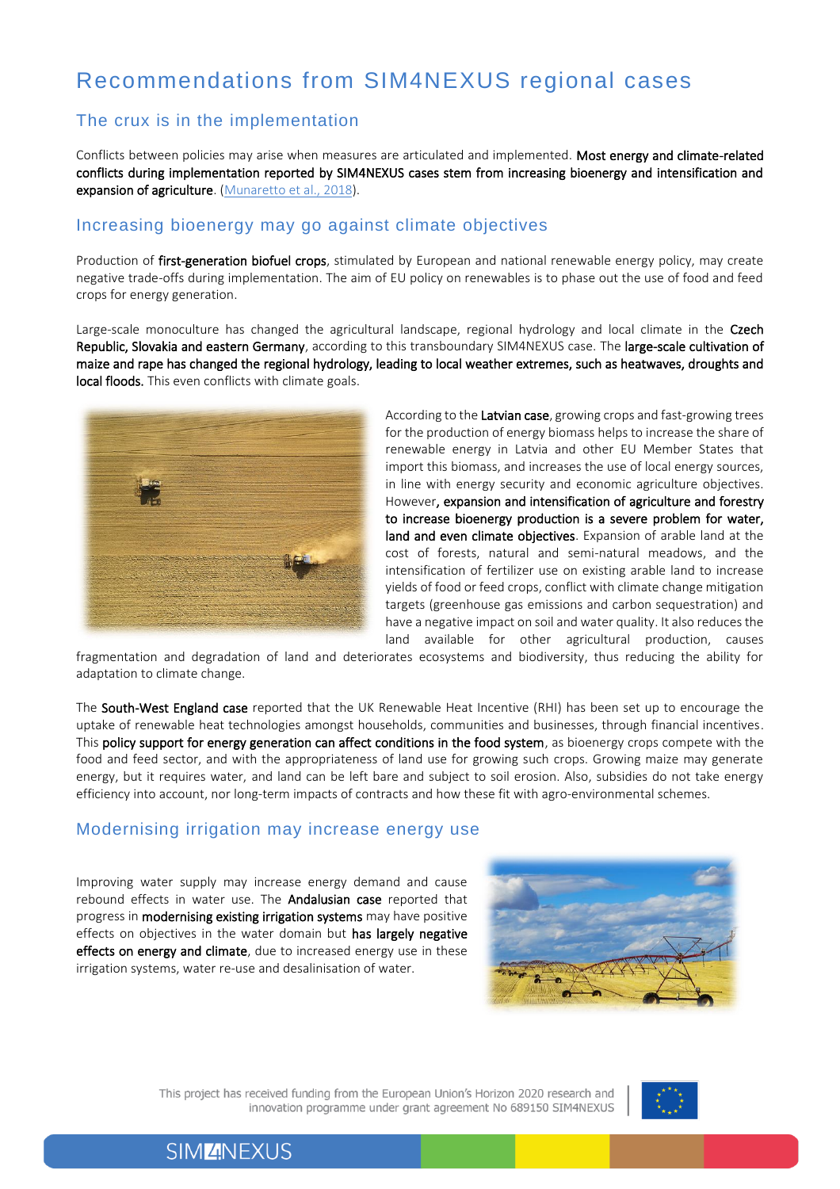# Recommendations from SIM4NEXUS regional cases

### The crux is in the implementation

Conflicts between policies may arise when measures are articulated and implemented. Most energy and climate-related conflicts during implementation reported by SIM4NEXUS cases stem from increasing bioenergy and intensification and expansion of agriculture. [\(Munaretto et al., 2018\)](https://www.sim4nexus.eu/userfiles/Deliverables/Deliverable%202.2_Policy%20analysis%20case%20studies_final-report_2019.02.18.pdf).

#### Increasing bioenergy may go against climate objectives

Production of first-generation biofuel crops, stimulated by European and national renewable energy policy, may create negative trade-offs during implementation. The aim of EU policy on renewables is to phase out the use of food and feed crops for energy generation.

Large-scale monoculture has changed the agricultural landscape, regional hydrology and local climate in the Czech Republic, Slovakia and eastern Germany, according to this transboundary SIM4NEXUS case. The large-scale cultivation of maize and rape has changed the regional hydrology, leading to local weather extremes, such as heatwaves, droughts and local floods. This even conflicts with climate goals.



According to the Latvian case, growing crops and fast-growing trees for the production of energy biomass helps to increase the share of renewable energy in Latvia and other EU Member States that import this biomass, and increases the use of local energy sources, in line with energy security and economic agriculture objectives. However, expansion and intensification of agriculture and forestry to increase bioenergy production is a severe problem for water, land and even climate objectives. Expansion of arable land at the cost of forests, natural and semi-natural meadows, and the intensification of fertilizer use on existing arable land to increase yields of food or feed crops, conflict with climate change mitigation targets (greenhouse gas emissions and carbon sequestration) and have a negative impact on soil and water quality. It also reduces the land available for other agricultural production, causes

fragmentation and degradation of land and deteriorates ecosystems and biodiversity, thus reducing the ability for adaptation to climate change.

The South-West England case reported that the UK Renewable Heat Incentive (RHI) has been set up to encourage the uptake of renewable heat technologies amongst households, communities and businesses, through financial incentives. This policy support for energy generation can affect conditions in the food system, as bioenergy crops compete with the food and feed sector, and with the appropriateness of land use for growing such crops. Growing maize may generate energy, but it requires water, and land can be left bare and subject to soil erosion. Also, subsidies do not take energy efficiency into account, nor long-term impacts of contracts and how these fit with agro-environmental schemes.

### Modernising irrigation may increase energy use

Improving water supply may increase energy demand and cause rebound effects in water use. The **Andalusian case** reported that progress in modernising existing irrigation systems may have positive effects on objectives in the water domain but has largely negative effects on energy and climate, due to increased energy use in these irrigation systems, water re-use and desalinisation of water.



This project has received funding from the European Union's Horizon 2020 research and innovation programme under grant agreement No 689150 SIM4NEXUS

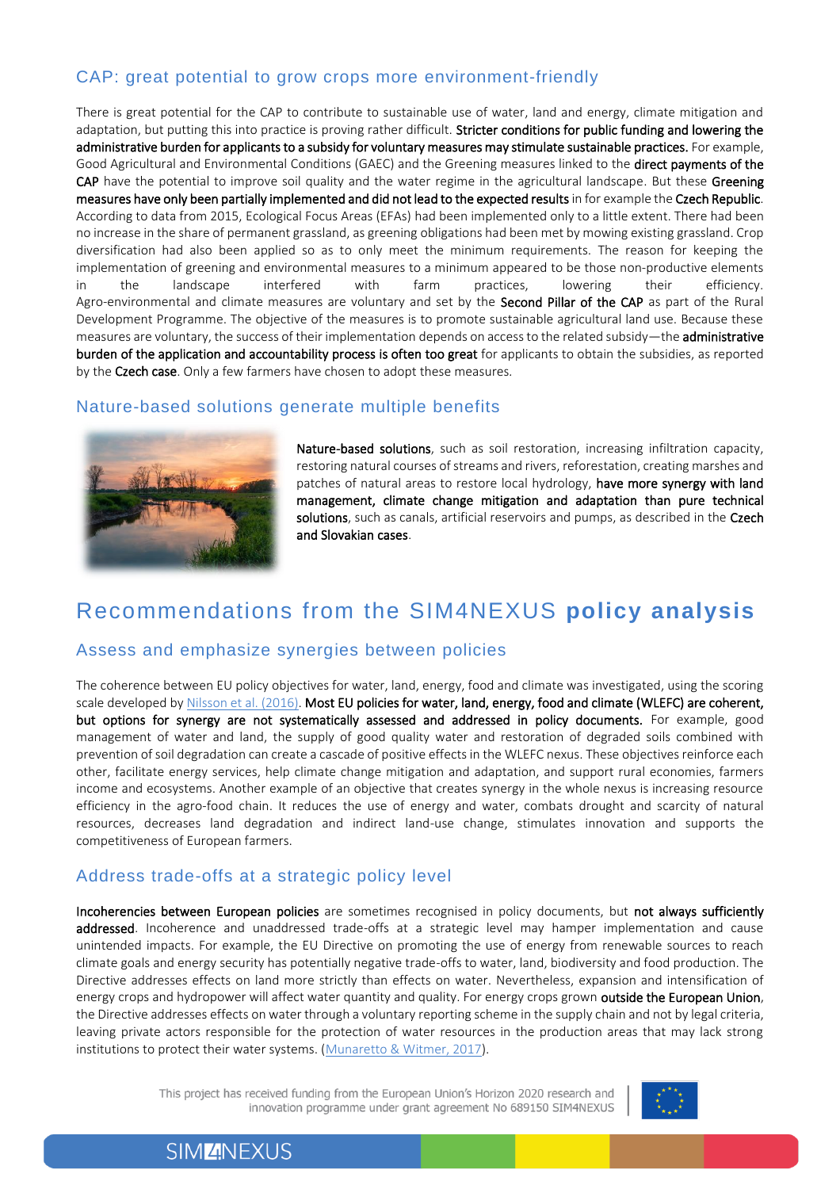## CAP: great potential to grow crops more environment-friendly

There is great potential for the CAP to contribute to sustainable use of water, land and energy, climate mitigation and adaptation, but putting this into practice is proving rather difficult. Stricter conditions for public funding and lowering the administrative burden for applicants to a subsidy for voluntary measures may stimulate sustainable practices. For example, Good Agricultural and Environmental Conditions (GAEC) and the Greening measures linked to the direct payments of the CAP have the potential to improve soil quality and the water regime in the agricultural landscape. But these Greening measures have only been partially implemented and did not lead to the expected results in for example the Czech Republic. According to data from 2015, Ecological Focus Areas (EFAs) had been implemented only to a little extent. There had been no increase in the share of permanent grassland, as greening obligations had been met by mowing existing grassland. Crop diversification had also been applied so as to only meet the minimum requirements. The reason for keeping the implementation of greening and environmental measures to a minimum appeared to be those non-productive elements in the landscape interfered with farm practices, lowering their efficiency. Agro-environmental and climate measures are voluntary and set by the Second Pillar of the CAP as part of the Rural Development Programme. The objective of the measures is to promote sustainable agricultural land use. Because these measures are voluntary, the success of their implementation depends on access to the related subsidy—the **administrative** burden of the application and accountability process is often too great for applicants to obtain the subsidies, as reported by the Czech case. Only a few farmers have chosen to adopt these measures*.*

### Nature-based solutions generate multiple benefits



Nature-based solutions, such as soil restoration, increasing infiltration capacity, restoring natural courses of streams and rivers, reforestation, creating marshes and patches of natural areas to restore local hydrology, have more synergy with land management, climate change mitigation and adaptation than pure technical solutions, such as canals, artificial reservoirs and pumps, as described in the Czech and Slovakian cases.

## Recommendations from the SIM4NEXUS **policy analysis**

### Assess and emphasize synergies between policies

The coherence between EU policy objectives for water, land, energy, food and climate was investigated, using the scoring scale developed b[y Nilsson et al. \(2016\).](https://www.nature.com/news/policy-map-the-interactions-between-sustainable-development-goals-1.20075) Most EU policies for water, land, energy, food and climate (WLEFC) are coherent, but options for synergy are not systematically assessed and addressed in policy documents. For example, good management of water and land, the supply of good quality water and restoration of degraded soils combined with prevention of soil degradation can create a cascade of positive effects in the WLEFC nexus. These objectives reinforce each other, facilitate energy services, help climate change mitigation and adaptation, and support rural economies, farmers income and ecosystems. Another example of an objective that creates synergy in the whole nexus is increasing resource efficiency in the agro-food chain. It reduces the use of energy and water, combats drought and scarcity of natural resources, decreases land degradation and indirect land-use change, stimulates innovation and supports the competitiveness of European farmers.

### Address trade-offs at a strategic policy level

Incoherencies between European policies are sometimes recognised in policy documents, but not always sufficiently addressed. Incoherence and unaddressed trade-offs at a strategic level may hamper implementation and cause unintended impacts. For example, the EU Directive on promoting the use of energy from renewable sources to reach climate goals and energy security has potentially negative trade-offs to water, land, biodiversity and food production. The Directive addresses effects on land more strictly than effects on water. Nevertheless, expansion and intensification of energy crops and hydropower will affect water quantity and quality. For energy crops grown **outside the European Union**, the Directive addresses effects on water through a voluntary reporting scheme in the supply chain and not by legal criteria, leaving private actors responsible for the protection of water resources in the production areas that may lack strong institutions to protect their water systems. [\(Munaretto & Witmer, 2017\)](https://www.sim4nexus.eu/userfiles/Deliverables/Deliverable_D2.1%20resubmission%20after%20review%20with%20annex%201.pdf).

> This project has received funding from the European Union's Horizon 2020 research and innovation programme under grant agreement No 689150 SIM4NEXUS

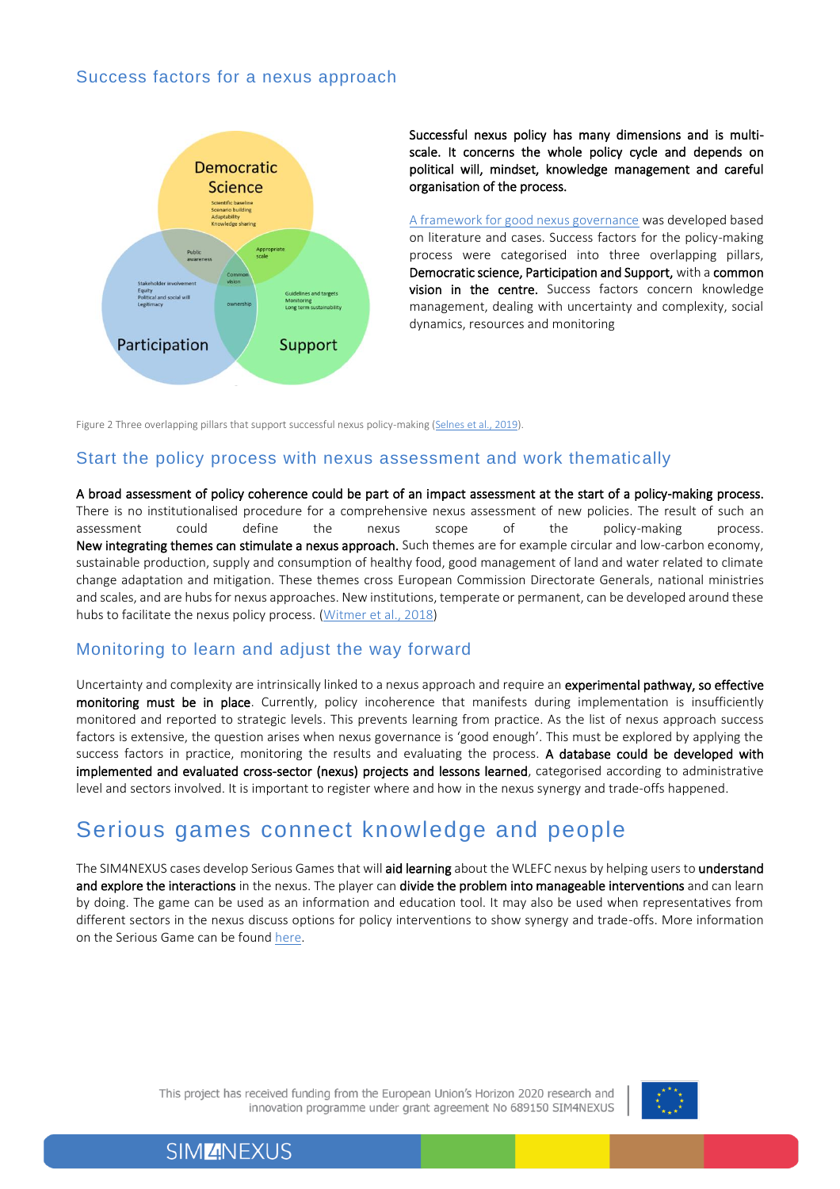#### Success factors for a nexus approach



Successful nexus policy has many dimensions and is multiscale. It concerns the whole policy cycle and depends on political will, mindset, knowledge management and careful organisation of the process.

[A framework for good nexus governance](https://www.sim4nexus.eu/userfiles/Deliverables/Deliverable_D2.3%20resubmission.pdf) was developed based on literature and cases. Success factors for the policy-making process were categorised into three overlapping pillars, Democratic science, Participation and Support, with a common vision in the centre. Success factors concern knowledge management, dealing with uncertainty and complexity, social dynamics, resources and monitoring

Figure 2 Three overlapping pillars that support successful nexus policy-making [\(Selnes et al., 2019\)](https://www.sim4nexus.eu/userfiles/Deliverables/Deliverable_D2.4.pdf).

#### Start the policy process with nexus assessment and work thematically

A broad assessment of policy coherence could be part of an impact assessment at the start of a policy-making process. There is no institutionalised procedure for a comprehensive nexus assessment of new policies. The result of such an assessment could define the nexus scope of the policy-making process. New integrating themes can stimulate a nexus approach. Such themes are for example circular and low-carbon economy, sustainable production, supply and consumption of healthy food, good management of land and water related to climate change adaptation and mitigation. These themes cross European Commission Directorate Generals, national ministries and scales, and are hubs for nexus approaches. New institutions, temperate or permanent, can be developed around these hubs to facilitate the nexus policy process. [\(Witmer et al., 2018\)](https://www.sim4nexus.eu/userfiles/Deliverables/Deliverable_D2.3%20resubmission.pdf)

#### Monitoring to learn and adjust the way forward

Uncertainty and complexity are intrinsically linked to a nexus approach and require an experimental pathway, so effective monitoring must be in place. Currently, policy incoherence that manifests during implementation is insufficiently monitored and reported to strategic levels. This prevents learning from practice. As the list of nexus approach success factors is extensive, the question arises when nexus governance is 'good enough'. This must be explored by applying the success factors in practice, monitoring the results and evaluating the process. A database could be developed with implemented and evaluated cross-sector (nexus) projects and lessons learned, categorised according to administrative level and sectors involved. It is important to register where and how in the nexus synergy and trade-offs happened.

## Serious games connect knowledge and people

The SIM4NEXUS cases develop Serious Games that will aid learning about the WLEFC nexus by helping users to understand and explore the interactions in the nexus. The player can divide the problem into manageable interventions and can learn by doing. The game can be used as an information and education tool. It may also be used when representatives from different sectors in the nexus discuss options for policy interventions to show synergy and trade-offs. More information on the Serious Game can be found [here.](https://www.sim4nexus.eu/page.php?wert=SeriousGame)

> This project has received funding from the European Union's Horizon 2020 research and innovation programme under grant agreement No 689150 SIM4NEXUS